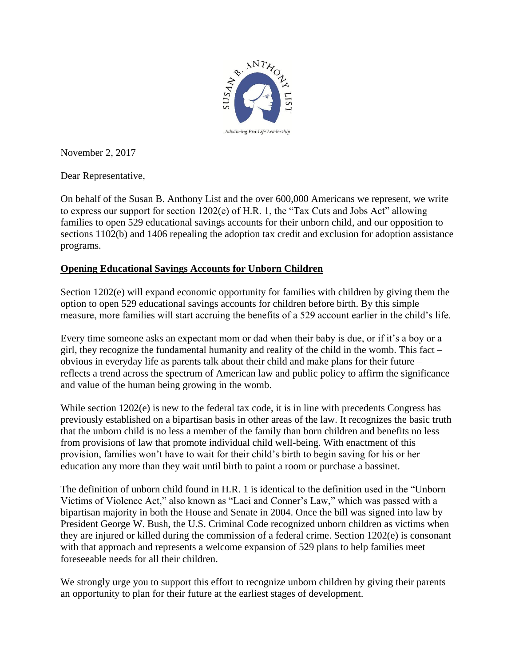

November 2, 2017

Dear Representative,

On behalf of the Susan B. Anthony List and the over 600,000 Americans we represent, we write to express our support for section 1202(e) of H.R. 1, the "Tax Cuts and Jobs Act" allowing families to open 529 educational savings accounts for their unborn child, and our opposition to sections 1102(b) and 1406 repealing the adoption tax credit and exclusion for adoption assistance programs.

## **Opening Educational Savings Accounts for Unborn Children**

Section 1202(e) will expand economic opportunity for families with children by giving them the option to open 529 educational savings accounts for children before birth. By this simple measure, more families will start accruing the benefits of a 529 account earlier in the child's life.

Every time someone asks an expectant mom or dad when their baby is due, or if it's a boy or a girl, they recognize the fundamental humanity and reality of the child in the womb. This fact – obvious in everyday life as parents talk about their child and make plans for their future – reflects a trend across the spectrum of American law and public policy to affirm the significance and value of the human being growing in the womb.

While section  $1202(e)$  is new to the federal tax code, it is in line with precedents Congress has previously established on a bipartisan basis in other areas of the law. It recognizes the basic truth that the unborn child is no less a member of the family than born children and benefits no less from provisions of law that promote individual child well-being. With enactment of this provision, families won't have to wait for their child's birth to begin saving for his or her education any more than they wait until birth to paint a room or purchase a bassinet.

The definition of unborn child found in H.R. 1 is identical to the definition used in the "Unborn Victims of Violence Act," also known as "Laci and Conner's Law," which was passed with a bipartisan majority in both the House and Senate in 2004. Once the bill was signed into law by President George W. Bush, the U.S. Criminal Code recognized unborn children as victims when they are injured or killed during the commission of a federal crime. Section 1202(e) is consonant with that approach and represents a welcome expansion of 529 plans to help families meet foreseeable needs for all their children.

We strongly urge you to support this effort to recognize unborn children by giving their parents an opportunity to plan for their future at the earliest stages of development.